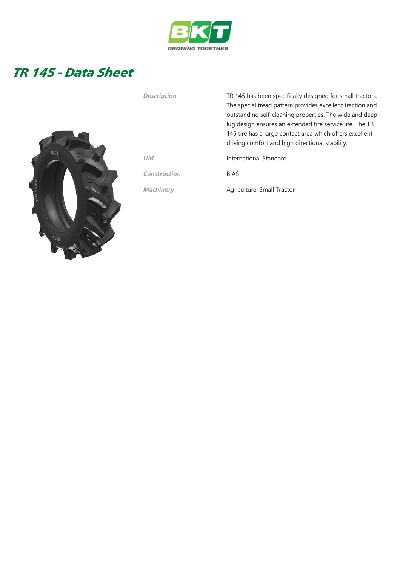

## TR 145 - Data Sheet



| <b>Description</b> | TR 145 has been specifically designed for small tractors.<br>The special tread pattern provides excellent traction and<br>outstanding self-cleaning properties. The wide and deep<br>lug design ensures an extended tire service life. The TR<br>145 tire has a large contact area which offers excellent |
|--------------------|-----------------------------------------------------------------------------------------------------------------------------------------------------------------------------------------------------------------------------------------------------------------------------------------------------------|
| <b>UM</b>          | driving comfort and high directional stability.<br>International Standard                                                                                                                                                                                                                                 |

Construction BIAS

Machinery **Agriculture: Small Tractor**